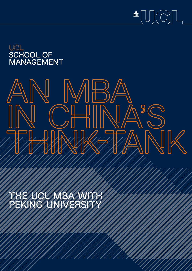



# AN MBA IN CHINA'S THINK-TANK

THE UCL MBA WITH PEKING UNIVERSITY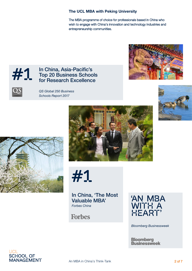#### **The UCL MBA with Peking University**

The MBA programme of choice for professionals based in China who wish to engage with China's innovation and technology industries and entrepreneurship communities.



#### In China, Asia-Pacific's Top 20 Business Schools for Research Excellence





*QS Global 250 Business Schools Report 2017*





#1

In China, 'The Most Valuable MBA' *Forbes China*

**Forbes** 



*Bloomberg Businessweek*

**Bloomberg Businessweek** 

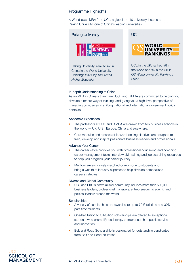#### Programme Highlights

A World-class MBA from UCL, a global top-10 university, hosted at Peking University, one of China's leading universities.



#### In-depth Understanding of China

As an MBA in China's think tank, UCL and BiMBA are committed to helping you develop a macro way of thinking, and giving you a high-level perspective of managing companies in shifting national and international government policy contexts.

#### Academic Experience

- The professors at UCL and BiMBA are drawn from top business schools in the world — UK, U.S., Europe, China and elsewhere.
- Core modules and a series of forward-looking electives are designed to train, develop and inspire passionate business leaders and professionals.

#### Advance Your Career

- The career office provides you with professional counseling and coaching, career management tools, interview skill training and job searching resources to help you progress your career journey.
- Mentors are exclusively matched one-on-one to students and bring a wealth of industry expertise to help develop personalised career strategies.

#### Diverse and Global Community

• UCL and PKU's active alumni community includes more than 500,000 business leaders, professional managers, entrepreneurs, academic and political leaders around the world.

#### **Scholarships**

- A variety of scholarships are awarded to up to 70% full-time and 30% part-time students.
- One-half tuition to full-tuition scholarships are offered to exceptional students who exemplify leadership, entrepreneurship, public service and innovation.
- Belt and Road Scholarship is designated for outstanding candidates from Belt and Road countries.

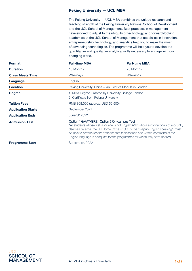#### Peking University — UCL MBA

The Peking University — UCL MBA combines the unique research and teaching strength of the Peking University National School of Development and the UCL School of Management. Best practices in management have evolved to adjust to the ubiquity of technology, and forward-looking academics at the UCL School of Management that specialise in innovation, entrepreneurship, technology, and analytics help you to make the most of advancing technologies. The programme will help you to develop the quantitative and qualitative analytical skills necessary to engage with our changing world.

| <b>Format</b>             | <b>Full-time MBA</b> | <b>Part-time MBA</b>                                                                                                                                                                                                                                                                                                                                                                           |  |  |  |
|---------------------------|----------------------|------------------------------------------------------------------------------------------------------------------------------------------------------------------------------------------------------------------------------------------------------------------------------------------------------------------------------------------------------------------------------------------------|--|--|--|
| <b>Duration</b>           | 16 Months            | 28 Months                                                                                                                                                                                                                                                                                                                                                                                      |  |  |  |
| <b>Class Meets Time</b>   | Weekdays             | Weekends                                                                                                                                                                                                                                                                                                                                                                                       |  |  |  |
| Language                  | English              |                                                                                                                                                                                                                                                                                                                                                                                                |  |  |  |
| <b>Location</b>           |                      | Peking University, China + An Elective Module in London                                                                                                                                                                                                                                                                                                                                        |  |  |  |
| <b>Degree</b>             |                      | 1. MBA Degree Granted by University College London<br>2. Certificate from Peking University                                                                                                                                                                                                                                                                                                    |  |  |  |
| <b>Tuition Fees</b>       |                      | RMB 368,000 (approx. USD 56,500)                                                                                                                                                                                                                                                                                                                                                               |  |  |  |
| <b>Application Starts</b> | September 2021       |                                                                                                                                                                                                                                                                                                                                                                                                |  |  |  |
| <b>Application Ends</b>   | June 30 2022         |                                                                                                                                                                                                                                                                                                                                                                                                |  |  |  |
| <b>Admission Test</b>     |                      | Option 1 GMAT/GRE Option 2 On-campus Test<br>*All students whose first language is not English AND who are not nationals of a country<br>deemed by either the UK Home Office or UCL to be "majority English speaking", must<br>be able to provide recent evidence that their spoken and written command of the<br>English language is adequate for the programmes for which they have applied. |  |  |  |
| <b>Programme Start</b>    | September, 2022      |                                                                                                                                                                                                                                                                                                                                                                                                |  |  |  |

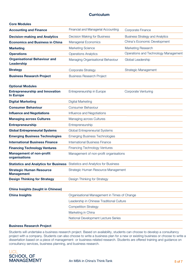#### **Curriculum**

| <b>Core Modules</b>                                                                |                                                                        |                                      |  |  |
|------------------------------------------------------------------------------------|------------------------------------------------------------------------|--------------------------------------|--|--|
| <b>Accounting and Finance</b>                                                      | Financial and Managerial Accounting                                    | Corporate Finance                    |  |  |
| <b>Decision-making and Analytics</b>                                               | Decision Making for Business<br><b>Business Strategy and Analytics</b> |                                      |  |  |
| <b>Economics and Business in China</b>                                             | China's Economic Development<br><b>Managerial Economics</b>            |                                      |  |  |
| <b>Marketing</b>                                                                   | <b>Marketing Science</b>                                               | Marketing Research                   |  |  |
| <b>Operations</b>                                                                  | <b>Operations Analytics</b>                                            | Operations and Technology Management |  |  |
| <b>Organisational Behaviour and</b><br>Leadership                                  | Global Leadership<br>Managing Organisational Behaviour                 |                                      |  |  |
| <b>Strategy</b>                                                                    | Corporate Strategy                                                     | <b>Strategic Management</b>          |  |  |
| <b>Business Research Project</b>                                                   | <b>Business Research Project</b>                                       |                                      |  |  |
| <b>Optional Modules</b>                                                            |                                                                        |                                      |  |  |
| <b>Entrepreneurship and Innovation</b><br><b>In Europe</b>                         | Entrepreneurship in Europe<br><b>Corporate Venturing</b>               |                                      |  |  |
| <b>Digital Marketing</b>                                                           | Digital Marketing                                                      |                                      |  |  |
| <b>Consumer Behaviour</b>                                                          | <b>Consumer Behaviour</b>                                              |                                      |  |  |
| <b>Influence and Negotiations</b>                                                  | Influence and Negotiations                                             |                                      |  |  |
| <b>Managing across Cultures</b>                                                    | Managing across Cultures                                               |                                      |  |  |
| <b>Entrepreneurship</b>                                                            | Entrepreneurship                                                       |                                      |  |  |
| <b>Global Entrepreneurial Systems</b>                                              | <b>Global Entrepreneurial Systems</b>                                  |                                      |  |  |
| <b>Emerging Business Technologies</b>                                              | <b>Emerging Business Technologies</b>                                  |                                      |  |  |
| <b>International Business Finance</b>                                              | <b>International Business Finance</b>                                  |                                      |  |  |
| <b>Financing Technology Ventures</b>                                               | <b>Financing Technology Ventures</b>                                   |                                      |  |  |
| <b>Management of non-profit</b><br>organisations                                   | Management of non-profit organisations                                 |                                      |  |  |
| <b>Statistics and Analytics for Business</b> Statistics and Analytics for Business |                                                                        |                                      |  |  |
| <b>Strategic Human Resource</b><br><b>Management</b>                               | Strategic Human Resource Management                                    |                                      |  |  |
| <b>Design Thinking for Strategy</b>                                                | Design Thinking for Strategy                                           |                                      |  |  |
| <b>China Insights (taught in Chinese)</b>                                          |                                                                        |                                      |  |  |
| <b>China Insights</b>                                                              | Organisational Management in Times of Change                           |                                      |  |  |
|                                                                                    | Leadership in Chinese Traditional Culture                              |                                      |  |  |
|                                                                                    | <b>Competition Strategy</b>                                            |                                      |  |  |
|                                                                                    | Marketing in China                                                     |                                      |  |  |
|                                                                                    | National Development Lecture Series                                    |                                      |  |  |
| <b>Business Research Project</b>                                                   |                                                                        |                                      |  |  |

Students will undertake a business research project. Based on availability, students can choose to develop a consultancy project with a company. Students can also choose to write a business plan for a new or existing business or choose to write a dissertation based on a piece of management- or business-related research. Students are offered training and guidance on consultancy services, business planning, and business research.

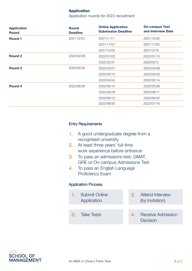#### **Application**

Application rounds for 2022 recruitment

| <b>Application</b><br><b>Round</b> | <b>Round</b><br><b>Deadline</b> | <b>Online Application</b><br><b>Submission Deadline</b> | <b>On-campus Test</b><br>and Interview Date |
|------------------------------------|---------------------------------|---------------------------------------------------------|---------------------------------------------|
| <b>Round 1</b>                     | 2021/12/31                      | 2021/1-/17                                              | 2021/10/30                                  |
|                                    |                                 | 2021/11/07                                              | 2021/11/20                                  |
|                                    |                                 | 2021/12/05                                              | 2021/12/18                                  |
| <b>Round 2</b>                     | 2022/02/28                      | 2022/01/02                                              | 2022/01/15                                  |
|                                    |                                 | 2022/02/27                                              | 2022/03/12                                  |
| <b>Round 3</b>                     | 2022/04/30                      | 2022/03/27                                              | 2022/04/09                                  |
|                                    |                                 | 2022/04/10                                              | 2022/04/23                                  |
|                                    |                                 | 2022/04/24                                              | 2022/05/14                                  |
| <b>Round 4</b>                     | 2022/06/30                      | 2022/05/15                                              | 2022/05/28                                  |
|                                    |                                 | 2022/05/29                                              | 2022/06/11                                  |
|                                    |                                 | 2022/06/12                                              | 2022/06/25                                  |
|                                    |                                 | 2022/06/30                                              | 2022/07/16                                  |

#### Entry Requirements

- 1. A good undergraduate degree from a recognised university
- 2. At least three years' full-time work experience before entrance
- 3. To pass an admissions test: GMAT, GRE or On-campus Admissions Test
- 4. To pass an English Language Proficiency Exam

#### Application Process

1. Submit Online Application 3. Take Tests 2. Attend Interview (by Invitation) 4. Receive Admission **Decision**